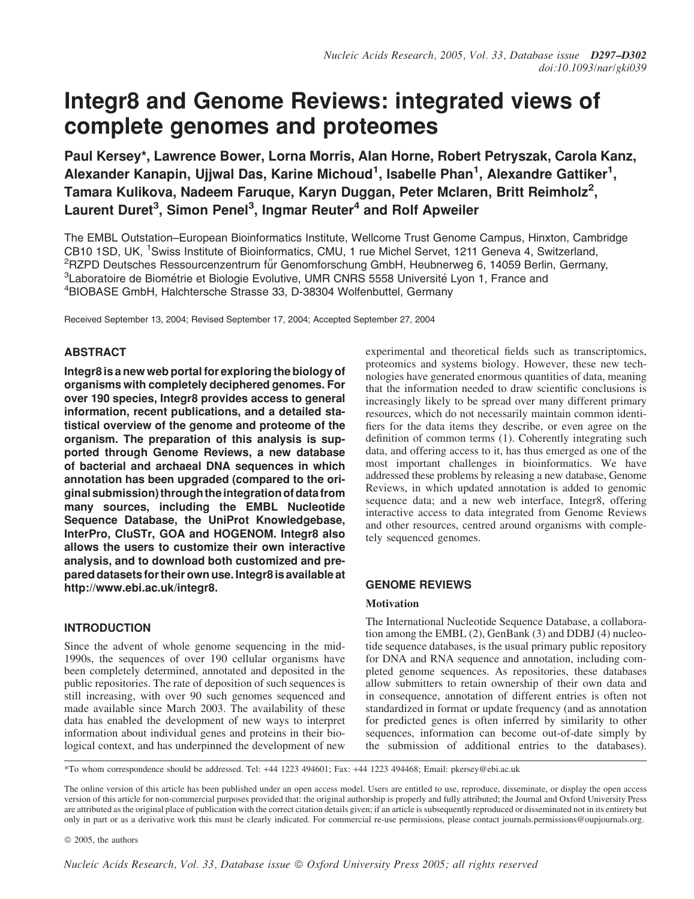# Integr8 and Genome Reviews: integrated views of complete genomes and proteomes

Paul Kersey\*, Lawrence Bower, Lorna Morris, Alan Horne, Robert Petryszak, Carola Kanz, Alexander Kanapin, Ujjwal Das, Karine Michoud<sup>1</sup>, Isabelle Phan<sup>1</sup>, Alexandre Gattiker<sup>1</sup>, Tamara Kulikova, Nadeem Faruque, Karyn Duggan, Peter Mclaren, Britt Reimholz $^2$ , Laurent Duret<sup>3</sup>, Simon Penel<sup>3</sup>, Ingmar Reuter<sup>4</sup> and Rolf Apweiler

The EMBL Outstation–European Bioinformatics Institute, Wellcome Trust Genome Campus, Hinxton, Cambridge CB10 1SD, UK, <sup>1</sup>Swiss Institute of Bioinformatics, CMU, 1 rue Michel Servet, 1211 Geneva 4, Switzerland, <sup>2</sup>RZPD Deutsches Ressourcenzentrum fűr Genomforschung GmbH, Heubnerweg 6, 14059 Berlin, Germany, <sup>3</sup>Laboratoire de Biométrie et Biologie Evolutive, UMR CNRS 5558 Université Lyon 1, France and 4 BIOBASE GmbH, Halchtersche Strasse 33, D-38304 Wolfenbuttel, Germany

Received September 13, 2004; Revised September 17, 2004; Accepted September 27, 2004

# ABSTRACT

Integr8 is a new web portal for exploring the biology of organisms with completely deciphered genomes. For over 190 species, Integr8 provides access to general information, recent publications, and a detailed statistical overview of the genome and proteome of the organism. The preparation of this analysis is supported through Genome Reviews, a new database of bacterial and archaeal DNA sequences in which annotation has been upgraded (compared to the original submission) through theintegration of data from many sources, including the EMBL Nucleotide Sequence Database, the UniProt Knowledgebase, InterPro, CluSTr, GOA and HOGENOM. Integr8 also allows the users to customize their own interactive analysis, and to download both customized and prepared datasets for their own use. Integr8 is available at [http://www.ebi.ac.uk/integr8.](http://www.ebi.ac.uk/integr8)

INTRODUCTION

Since the advent of whole genome sequencing in the mid-1990s, the sequences of over 190 cellular organisms have been completely determined, annotated and deposited in the public repositories. The rate of deposition of such sequences is still increasing, with over 90 such genomes sequenced and made available since March 2003. The availability of these data has enabled the development of new ways to interpret information about individual genes and proteins in their biological context, and has underpinned the development of new experimental and theoretical fields such as transcriptomics, proteomics and systems biology. However, these new technologies have generated enormous quantities of data, meaning that the information needed to draw scientific conclusions is increasingly likely to be spread over many different primary resources, which do not necessarily maintain common identifiers for the data items they describe, or even agree on the definition of common terms (1). Coherently integrating such data, and offering access to it, has thus emerged as one of the most important challenges in bioinformatics. We have addressed these problems by releasing a new database, Genome Reviews, in which updated annotation is added to genomic sequence data; and a new web interface, Integr8, offering interactive access to data integrated from Genome Reviews and other resources, centred around organisms with completely sequenced genomes.

# GENOME REVIEWS

# **Motivation**

The International Nucleotide Sequence Database, a collaboration among the EMBL (2), GenBank (3) and DDBJ (4) nucleotide sequence databases, is the usual primary public repository for DNA and RNA sequence and annotation, including completed genome sequences. As repositories, these databases allow submitters to retain ownership of their own data and in consequence, annotation of different entries is often not standardized in format or update frequency (and as annotation for predicted genes is often inferred by similarity to other sequences, information can become out-of-date simply by the submission of additional entries to the databases).

\*To whom correspondence should be addressed. Tel: +44 1223 494601; Fax: +44 1223 494468; Email: pkersey@ebi.ac.uk

 $\odot$  2005, the authors

The online version of this article has been published under an open access model. Users are entitled to use, reproduce, disseminate, or display the open access version of this article for non-commercial purposes provided that: the original authorship is properly and fully attributed; the Journal and Oxford University Press are attributed as the original place of publication with the correct citation details given; if an article is subsequently reproduced or disseminated not in its entirety but only in part or as a derivative work this must be clearly indicated. For commercial re-use permissions, please contact journals.permissions@oupjournals.org.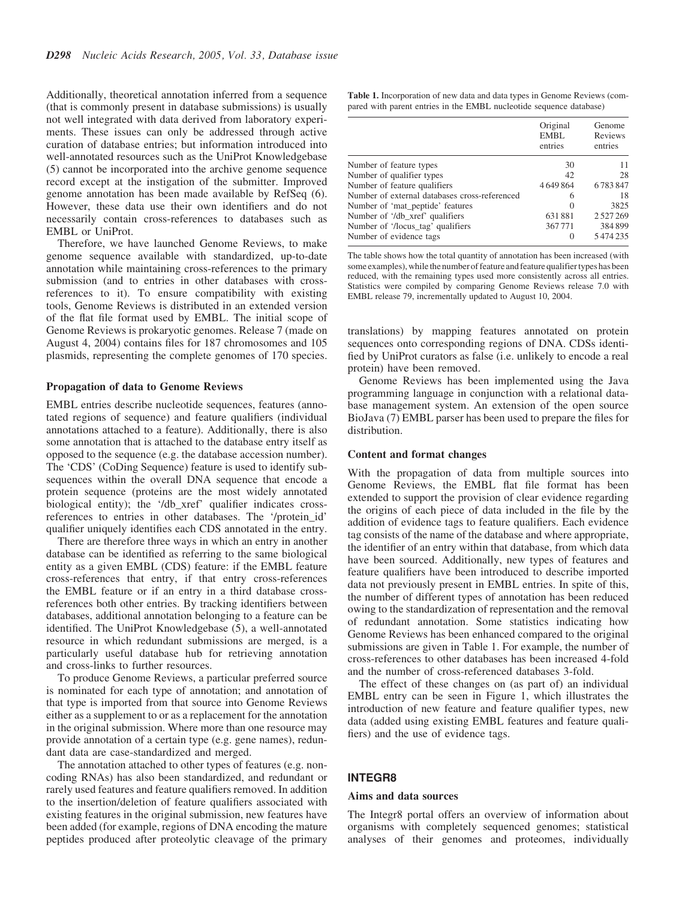Additionally, theoretical annotation inferred from a sequence (that is commonly present in database submissions) is usually not well integrated with data derived from laboratory experiments. These issues can only be addressed through active curation of database entries; but information introduced into well-annotated resources such as the UniProt Knowledgebase (5) cannot be incorporated into the archive genome sequence record except at the instigation of the submitter. Improved genome annotation has been made available by RefSeq (6). However, these data use their own identifiers and do not necessarily contain cross-references to databases such as EMBL or UniProt.

Therefore, we have launched Genome Reviews, to make genome sequence available with standardized, up-to-date annotation while maintaining cross-references to the primary submission (and to entries in other databases with crossreferences to it). To ensure compatibility with existing tools, Genome Reviews is distributed in an extended version of the flat file format used by EMBL. The initial scope of Genome Reviews is prokaryotic genomes. Release 7 (made on August 4, 2004) contains files for 187 chromosomes and 105 plasmids, representing the complete genomes of 170 species.

#### Propagation of data to Genome Reviews

EMBL entries describe nucleotide sequences, features (annotated regions of sequence) and feature qualifiers (individual annotations attached to a feature). Additionally, there is also some annotation that is attached to the database entry itself as opposed to the sequence (e.g. the database accession number). The 'CDS' (CoDing Sequence) feature is used to identify subsequences within the overall DNA sequence that encode a protein sequence (proteins are the most widely annotated biological entity); the '/db\_xref' qualifier indicates crossreferences to entries in other databases. The '/protein\_id' qualifier uniquely identifies each CDS annotated in the entry.

There are therefore three ways in which an entry in another database can be identified as referring to the same biological entity as a given EMBL (CDS) feature: if the EMBL feature cross-references that entry, if that entry cross-references the EMBL feature or if an entry in a third database crossreferences both other entries. By tracking identifiers between databases, additional annotation belonging to a feature can be identified. The UniProt Knowledgebase (5), a well-annotated resource in which redundant submissions are merged, is a particularly useful database hub for retrieving annotation and cross-links to further resources.

To produce Genome Reviews, a particular preferred source is nominated for each type of annotation; and annotation of that type is imported from that source into Genome Reviews either as a supplement to or as a replacement for the annotation in the original submission. Where more than one resource may provide annotation of a certain type (e.g. gene names), redundant data are case-standardized and merged.

The annotation attached to other types of features (e.g. noncoding RNAs) has also been standardized, and redundant or rarely used features and feature qualifiers removed. In addition to the insertion/deletion of feature qualifiers associated with existing features in the original submission, new features have been added (for example, regions of DNA encoding the mature peptides produced after proteolytic cleavage of the primary

Table 1. Incorporation of new data and data types in Genome Reviews (compared with parent entries in the EMBL nucleotide sequence database)

|                                               | Original<br><b>EMBL</b><br>entries | Genome<br>Reviews<br>entries |
|-----------------------------------------------|------------------------------------|------------------------------|
| Number of feature types                       | 30                                 | 11                           |
| Number of qualifier types                     | 42                                 | 28                           |
| Number of feature qualifiers                  | 4649864                            | 6783847                      |
| Number of external databases cross-referenced | 6                                  | 18                           |
| Number of 'mat_peptide' features              | $\Omega$                           | 3825                         |
| Number of '/db_xref' qualifiers               | 631881                             | 2527269                      |
| Number of '/locus_tag' qualifiers             | 367771                             | 384899                       |
| Number of evidence tags                       | $\left( \right)$                   | 5474235                      |

The table shows how the total quantity of annotation has been increased (with some examples), while the number of feature and feature qualifier types has been reduced, with the remaining types used more consistently across all entries. Statistics were compiled by comparing Genome Reviews release 7.0 with EMBL release 79, incrementally updated to August 10, 2004.

translations) by mapping features annotated on protein sequences onto corresponding regions of DNA. CDSs identified by UniProt curators as false (i.e. unlikely to encode a real protein) have been removed.

Genome Reviews has been implemented using the Java programming language in conjunction with a relational database management system. An extension of the open source BioJava (7) EMBL parser has been used to prepare the files for distribution.

#### Content and format changes

With the propagation of data from multiple sources into Genome Reviews, the EMBL flat file format has been extended to support the provision of clear evidence regarding the origins of each piece of data included in the file by the addition of evidence tags to feature qualifiers. Each evidence tag consists of the name of the database and where appropriate, the identifier of an entry within that database, from which data have been sourced. Additionally, new types of features and feature qualifiers have been introduced to describe imported data not previously present in EMBL entries. In spite of this, the number of different types of annotation has been reduced owing to the standardization of representation and the removal of redundant annotation. Some statistics indicating how Genome Reviews has been enhanced compared to the original submissions are given in Table 1. For example, the number of cross-references to other databases has been increased 4-fold and the number of cross-referenced databases 3-fold.

The effect of these changes on (as part of) an individual EMBL entry can be seen in Figure 1, which illustrates the introduction of new feature and feature qualifier types, new data (added using existing EMBL features and feature qualifiers) and the use of evidence tags.

#### INTEGR8

## Aims and data sources

The Integr8 portal offers an overview of information about organisms with completely sequenced genomes; statistical analyses of their genomes and proteomes, individually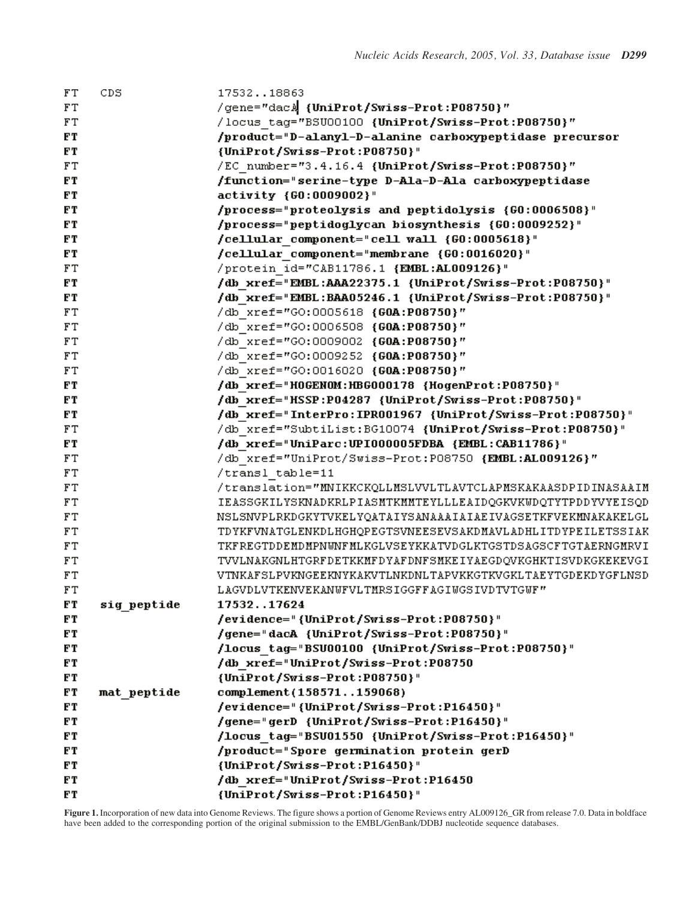| FT        | CDS.        | 1753218863                                                  |
|-----------|-------------|-------------------------------------------------------------|
| FT        |             | /gene="dacA {UniProt/Swiss-Prot:P08750}"                    |
| FT        |             | /locus tag="BSU00100 {UniProt/Swiss-Prot:P08750}"           |
| <b>FT</b> |             | /product="D-alanyl-D-alanine carboxypeptidase precursor     |
| FT        |             | {UniProt/Swiss-Prot:P08750}"                                |
| FT        |             | /EC number="3.4.16.4 {UniProt/Swiss-Prot:P08750}"           |
| FT.       |             | /function="serine-type D-Ala-D-Ala carboxypeptidase         |
| FT        |             | activity {GO:0009002}"                                      |
| FT        |             | /process="proteolysis and peptidolysis {GO:0006508}"        |
| FT        |             | /process="peptidoglycan biosynthesis {GO:0009252}"          |
| FT        |             | /cellular component="cell wall {G0:0005618}"                |
| FT.       |             | /cellular component="membrane {G0:0016020}"                 |
| FT        |             | /protein id="CAB11786.1 {EMBL:AL009126}"                    |
| FT        |             | /db xref="EMBL:AAA22375.1 {UniProt/Swiss-Prot:P08750}"      |
| FT        |             | /db xref="EMBL:BAA05246.1 {UniProt/Swiss-Prot:P08750}"      |
| FT        |             | /db xref="GO:0005618 {GOA:P08750}"                          |
| FT        |             | /db xref="GO:0006508 {GOA:P08750}"                          |
| FT        |             | /db xref="GO:0009002 {GOA:P08750}"                          |
| FT        |             | /db xref="GO:0009252 {GOA:P08750}"                          |
| FT        |             | /db xref="GO:0016020 {GOA:P08750}"                          |
| FT        |             | /db xref="HOGENOM:HBG000178 {HogenProt:P08750}"             |
| FT        |             | /db xref="HSSP:P04287 {UniProt/Swiss-Prot:P08750}"          |
| FT.       |             | /db xref="InterPro:IPR001967 {UniProt/Swiss-Prot:P08750}"   |
| FT        |             | /db xref="SubtiList:BG10074 {UniProt/Swiss-Prot:P08750}"    |
| FT        |             | /db xref="UniParc:UPI000005FDBA {EMBL:CAB11786}"            |
| FT        |             | /db xref="UniProt/Swiss-Prot:P08750 {EMBL:AL009126}"        |
| FT        |             | transl table=11/                                            |
| FT        |             | /translation="MNIKKCKQLLMSLVVLTLAVTCLAPMSKAKAASDPIDINASAAIM |
| FT        |             | IEASSGKILYSKNADKRLPIASMTKMMTEYLLLEAIDQGKVKWDQTYTPDDYVYEISQD |
| FT        |             | NSLSNVPLRKDGKYTVKELYQATAIYSANAAAIAIAEIVAGSETKFVEKMNAKAKELGL |
| FT        |             | TDYKFVNATGLENKDLHGHQPEGTSVNEESEVSAKDMAVLADHLITDYPEILETSSIAK |
| FT        |             | TKFREGTDDEMDMPNUNFMLKGLVSEYKKATVDGLKTGSTDSAGSCFTGTAERNGMRVI |
| FT        |             | TVVLNAKGNLHTGRFDETKKMFDYAFDNFSMKEIYAEGDQVKGHKTISVDKGKEKEVGI |
| FT        |             | VTNKAFSLPVKNGEEKNYKAKVTLNKDNLTAPVKKGTKVGKLTAEYTGDEKDYGFLNSD |
| FT        |             | LAGVDLVTKENVEKANWFVLTMRSIGGFFAGIWGSIVDTVTGWF"               |
| FT        | sig peptide | 1753217624                                                  |
| FT        |             | /evidence="{UniProt/Swiss-Prot:P08750}"                     |
| FT        |             | /gene="dacA {UniProt/Swiss-Prot:P08750}"                    |
| FT.       |             | /locus tag="BSU00100 {UniProt/Swiss-Prot:P08750}"           |
| FT.       |             | /db xref="UniProt/Swiss-Prot:P08750                         |
| FT.       |             | {UniProt/Swiss-Prot:P08750}"                                |
| FT        | mat peptide | complement(158571159068)                                    |
| F T       |             | /evidence="{UniProt/Swiss-Prot:P16450}"                     |
| FT.       |             | /gene="gerD {UniProt/Swiss-Prot:P16450}"                    |
| FT.       |             | /locus tag="BSU01550 {UniProt/Swiss-Prot:P16450}"           |
| FT        |             | /product="Spore germination protein gerD                    |
| FT        |             | {UniProt/Swiss-Prot:P16450}"                                |
| FT        |             | /db xref="UniProt/Swiss-Prot:P16450                         |
| FT        |             | {UniProt/Swiss-Prot:P16450}"                                |

Figure 1. Incorporation of new data into Genome Reviews. The figure shows a portion of Genome Reviews entry AL009126\_GR from release 7.0. Data in boldface have been added to the corresponding portion of the original submission to the EMBL/GenBank/DDBJ nucleotide sequence databases.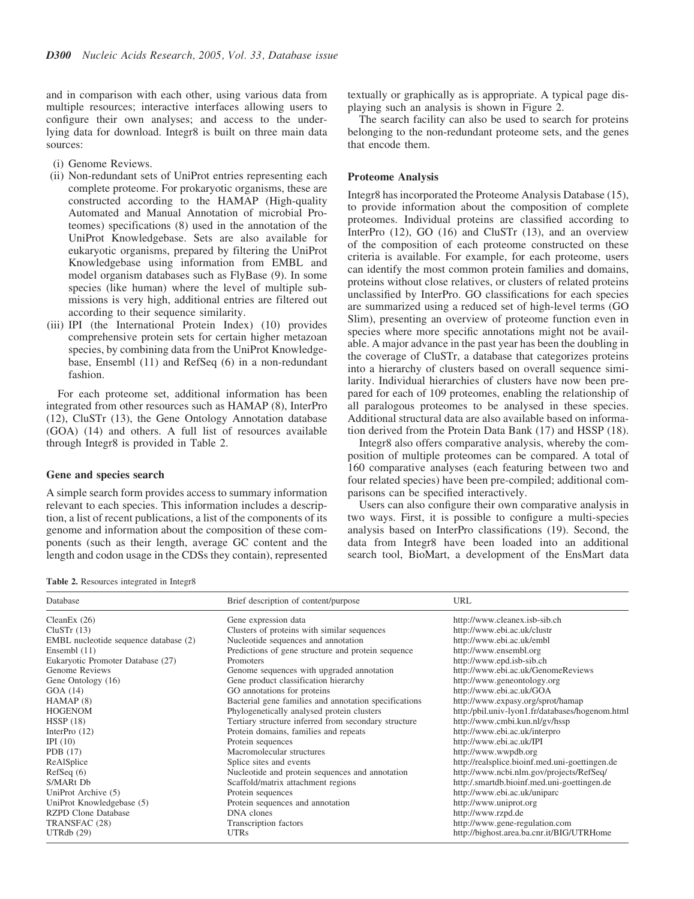and in comparison with each other, using various data from multiple resources; interactive interfaces allowing users to configure their own analyses; and access to the underlying data for download. Integr8 is built on three main data sources:

- (i) Genome Reviews.
- (ii) Non-redundant sets of UniProt entries representing each complete proteome. For prokaryotic organisms, these are constructed according to the HAMAP (High-quality Automated and Manual Annotation of microbial Proteomes) specifications (8) used in the annotation of the UniProt Knowledgebase. Sets are also available for eukaryotic organisms, prepared by filtering the UniProt Knowledgebase using information from EMBL and model organism databases such as FlyBase (9). In some species (like human) where the level of multiple submissions is very high, additional entries are filtered out according to their sequence similarity.
- (iii) IPI (the International Protein Index) (10) provides comprehensive protein sets for certain higher metazoan species, by combining data from the UniProt Knowledgebase, Ensembl (11) and RefSeq (6) in a non-redundant fashion.

For each proteome set, additional information has been integrated from other resources such as HAMAP (8), InterPro (12), CluSTr (13), the Gene Ontology Annotation database (GOA) (14) and others. A full list of resources available through Integr8 is provided in Table 2.

#### Gene and species search

A simple search form provides access to summary information relevant to each species. This information includes a description, a list of recent publications, a list of the components of its genome and information about the composition of these components (such as their length, average GC content and the length and codon usage in the CDSs they contain), represented textually or graphically as is appropriate. A typical page displaying such an analysis is shown in Figure 2.

The search facility can also be used to search for proteins belonging to the non-redundant proteome sets, and the genes that encode them.

## Proteome Analysis

Integr8 has incorporated the Proteome Analysis Database (15), to provide information about the composition of complete proteomes. Individual proteins are classified according to InterPro (12), GO (16) and CluSTr (13), and an overview of the composition of each proteome constructed on these criteria is available. For example, for each proteome, users can identify the most common protein families and domains, proteins without close relatives, or clusters of related proteins unclassified by InterPro. GO classifications for each species are summarized using a reduced set of high-level terms (GO Slim), presenting an overview of proteome function even in species where more specific annotations might not be available. A major advance in the past year has been the doubling in the coverage of CluSTr, a database that categorizes proteins into a hierarchy of clusters based on overall sequence similarity. Individual hierarchies of clusters have now been prepared for each of 109 proteomes, enabling the relationship of all paralogous proteomes to be analysed in these species. Additional structural data are also available based on information derived from the Protein Data Bank (17) and HSSP (18).

Integr8 also offers comparative analysis, whereby the composition of multiple proteomes can be compared. A total of 160 comparative analyses (each featuring between two and four related species) have been pre-compiled; additional comparisons can be specified interactively.

Users can also configure their own comparative analysis in two ways. First, it is possible to configure a multi-species analysis based on InterPro classifications (19). Second, the data from Integr8 have been loaded into an additional search tool, BioMart, a development of the EnsMart data

Table 2. Resources integrated in Integr8

| Database                              | Brief description of content/purpose                  | URL                                             |  |  |
|---------------------------------------|-------------------------------------------------------|-------------------------------------------------|--|--|
| CleanEx $(26)$                        | Gene expression data                                  | http://www.cleanex.isb-sib.ch                   |  |  |
| CluSTr(13)                            | Clusters of proteins with similar sequences           | http://www.ebi.ac.uk/clustr                     |  |  |
| EMBL nucleotide sequence database (2) | Nucleotide sequences and annotation                   | http://www.ebi.ac.uk/embl                       |  |  |
| Ensembl (11)                          | Predictions of gene structure and protein sequence    | http://www.ensembl.org                          |  |  |
| Eukaryotic Promoter Database (27)     | Promoters                                             | http://www.epd.isb-sib.ch                       |  |  |
| Genome Reviews                        | Genome sequences with upgraded annotation             | http://www.ebi.ac.uk/GenomeReviews              |  |  |
| Gene Ontology (16)                    | Gene product classification hierarchy                 | http://www.geneontology.org                     |  |  |
| GOA (14)                              | GO annotations for proteins                           | http://www.ebi.ac.uk/GOA                        |  |  |
| HAMAP(8)                              | Bacterial gene families and annotation specifications | http://www.expasy.org/sprot/hamap               |  |  |
| <b>HOGENOM</b>                        | Phylogenetically analysed protein clusters            | http:/pbil.univ-lyon1.fr/databases/hogenom.html |  |  |
| HSSP(18)                              | Tertiary structure inferred from secondary structure  | http://www.cmbi.kun.nl/gv/hssp                  |  |  |
| InterPro $(12)$                       | Protein domains, families and repeats                 | http://www.ebi.ac.uk/interpro                   |  |  |
| IPI $(10)$                            | Protein sequences                                     | http://www.ebi.ac.uk/IPI                        |  |  |
| PDB $(17)$                            | Macromolecular structures                             | http://www.wwpdb.org                            |  |  |
| ReAlSplice                            | Splice sites and events                               | http://realsplice.bioinf.med.uni-goettingen.de  |  |  |
| RefSeq(6)                             | Nucleotide and protein sequences and annotation       | http://www.ncbi.nlm.gov/projects/RefSeq/        |  |  |
| S/MARt Db                             | Scaffold/matrix attachment regions                    | http:/.smartdb.bioinf.med.uni-goettingen.de     |  |  |
| UniProt Archive (5)                   | Protein sequences                                     | http://www.ebi.ac.uk/uniparc                    |  |  |
| UniProt Knowledgebase (5)             | Protein sequences and annotation                      | http://www.uniprot.org                          |  |  |
| <b>RZPD Clone Database</b>            | DNA clones                                            | http://www.rzpd.de                              |  |  |
| TRANSFAC (28)                         | Transcription factors                                 | http://www.gene-regulation.com                  |  |  |
| UTRdb(29)                             | <b>UTRs</b>                                           | http://bighost.area.ba.cnr.it/BIG/UTRHome       |  |  |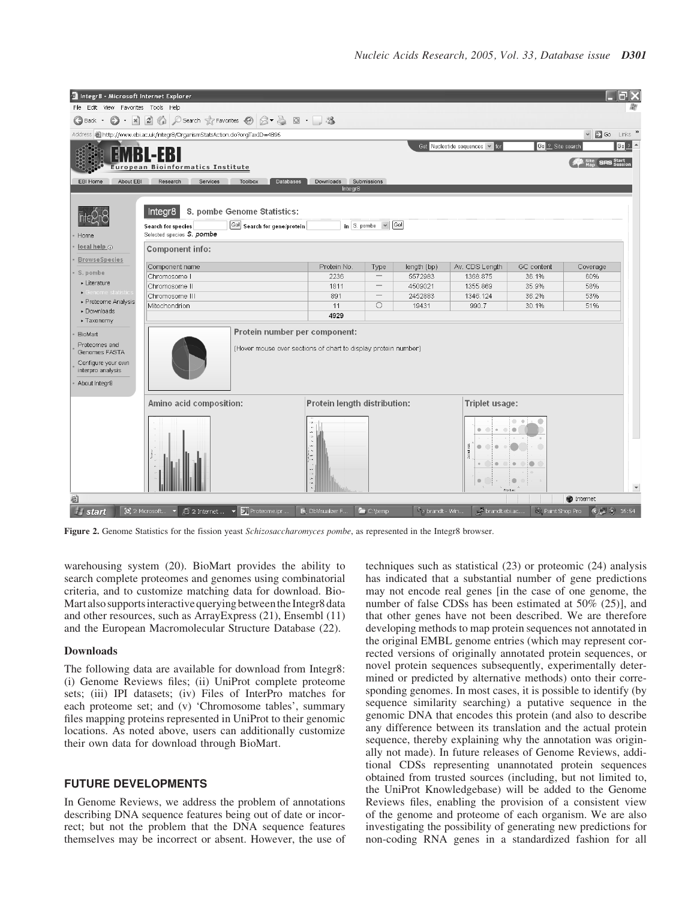| Integr8 - Microsoft Internet Explorer<br>File Edit View Favorites Tools Help                                 |                                                                                                                                                                            |                                                                                                 |                                  |                                      |                              |                                                                           |                                                                                                  |                                             |  |
|--------------------------------------------------------------------------------------------------------------|----------------------------------------------------------------------------------------------------------------------------------------------------------------------------|-------------------------------------------------------------------------------------------------|----------------------------------|--------------------------------------|------------------------------|---------------------------------------------------------------------------|--------------------------------------------------------------------------------------------------|---------------------------------------------|--|
| $\bigodot$ Back $\cdot$                                                                                      | $\bigcirc$ - $\boxtimes$ $\bigcirc$ $\bigcirc$ $\bigcirc$ Search $\forall$ Favorites $\bigcirc$ $\bigcirc$ - $\bigcirc$ $\bigcirc$ $\bigcirc$ - $\bigcirc$ - $\mathcal{S}$ |                                                                                                 |                                  |                                      |                              |                                                                           |                                                                                                  |                                             |  |
|                                                                                                              | Address   http://www.ebi.ac.uk/integr8/OrganismStatsAction.do?orgTaxID=4896                                                                                                |                                                                                                 |                                  |                                      |                              |                                                                           |                                                                                                  | $\vee$ $\Rightarrow$ Go Links $\rightarrow$ |  |
|                                                                                                              | -FRI<br>European Bioinformatics Institute                                                                                                                                  |                                                                                                 |                                  |                                      |                              | Get Nucleotide sequences v for                                            | Go 2 Site search                                                                                 | $Go$ $2$<br><b>SRS</b> Start                |  |
| About EBI<br>EBI Home                                                                                        | Research<br>Services                                                                                                                                                       | Toolbox<br>Databases                                                                            | Downloads Submissions<br>Integr8 |                                      |                              |                                                                           |                                                                                                  |                                             |  |
|                                                                                                              | Integr8                                                                                                                                                                    | S. pombe Genome Statistics:                                                                     |                                  |                                      |                              |                                                                           |                                                                                                  |                                             |  |
| Home                                                                                                         | Search for species<br>Selected species S. pombe                                                                                                                            | <b>Go!</b> Search for gene/protein                                                              |                                  | $\ln$ S. pombe $\sqrt{ \text{Gal} }$ |                              |                                                                           |                                                                                                  |                                             |  |
| local help o<br><b>BrowseSpecies</b>                                                                         | <b>Component info:</b>                                                                                                                                                     |                                                                                                 |                                  |                                      |                              |                                                                           |                                                                                                  |                                             |  |
|                                                                                                              | Component name                                                                                                                                                             |                                                                                                 | Protein No.                      | Type                                 | length (bp)                  | Av. CDS Length                                                            | GC content                                                                                       | Coverage                                    |  |
| · S. pombe                                                                                                   | Chromosome I                                                                                                                                                               |                                                                                                 | 2236                             | $\hspace{0.1mm}-\hspace{0.1mm}$      | 5572983                      | 1368.875                                                                  | 36.1%                                                                                            | 60%                                         |  |
| • Literature                                                                                                 | Chromosome II                                                                                                                                                              |                                                                                                 | 1811                             | $\hspace{0.1mm}-\hspace{0.1mm}$      | 4509021                      | 1355.869                                                                  | 35.9%                                                                                            | 58%                                         |  |
| · Genome statistic                                                                                           | Chromosome III                                                                                                                                                             |                                                                                                 | 891                              | $\hspace{0.1mm}-\hspace{0.1mm}$      | 2452883                      | 1346.124                                                                  | 36.2%                                                                                            | 53%                                         |  |
| ▶ Proteome Analysis<br>Downloads                                                                             | Mitochondrion                                                                                                                                                              |                                                                                                 | 11                               | $\circ$                              | 19431                        | 990.7                                                                     | 30.1%                                                                                            | 51%                                         |  |
| ▶ Taxonomy                                                                                                   |                                                                                                                                                                            |                                                                                                 | 4929                             |                                      |                              |                                                                           |                                                                                                  |                                             |  |
| <b>BioMart</b><br>Proteomes and<br>Genomes FASTA<br>Configure your own<br>interpro analysis<br>About Integr8 |                                                                                                                                                                            | Protein number per component:<br>(Hover mouse over sections of chart to display protein number) |                                  |                                      |                              |                                                                           |                                                                                                  |                                             |  |
| Amino acid composition:                                                                                      |                                                                                                                                                                            |                                                                                                 | Protein length distribution:     |                                      |                              | Triplet usage:                                                            |                                                                                                  |                                             |  |
|                                                                                                              |                                                                                                                                                                            |                                                                                                 |                                  |                                      |                              | $\circ$<br>ä<br>$\bullet$<br>$\bullet\quad\circ\quad$<br>$0-1$<br>$\circ$ | $\circ$ $\circ$<br>٠<br>0<br>$\qquad \qquad \bullet$<br>$\qquad \qquad \circ$<br>٠<br>First base |                                             |  |
| 6                                                                                                            |                                                                                                                                                                            |                                                                                                 |                                  |                                      |                              |                                                                           |                                                                                                  | internet                                    |  |
| <b>Il</b> start                                                                                              |                                                                                                                                                                            |                                                                                                 | <b>D</b> , DbVisualizer F        | C:\temp                              | <sup>En</sup> g brandt - Win | brandt.ebi.ac                                                             |                                                                                                  | Paint Shop Pro (C) 8 16:54                  |  |

Figure 2. Genome Statistics for the fission yeast *Schizosaccharomyces pombe*, as represented in the Integr8 browser.

warehousing system (20). BioMart provides the ability to search complete proteomes and genomes using combinatorial criteria, and to customize matching data for download. Bio-Mart also supportsinteractive querying betweenthe Integr8 data and other resources, such as ArrayExpress (21), Ensembl (11) and the European Macromolecular Structure Database (22).

#### Downloads

The following data are available for download from Integr8: (i) Genome Reviews files; (ii) UniProt complete proteome sets; (iii) IPI datasets; (iv) Files of InterPro matches for each proteome set; and (v) 'Chromosome tables', summary files mapping proteins represented in UniProt to their genomic locations. As noted above, users can additionally customize their own data for download through BioMart.

# FUTURE DEVELOPMENTS

In Genome Reviews, we address the problem of annotations describing DNA sequence features being out of date or incorrect; but not the problem that the DNA sequence features themselves may be incorrect or absent. However, the use of techniques such as statistical (23) or proteomic (24) analysis has indicated that a substantial number of gene predictions may not encode real genes [in the case of one genome, the number of false CDSs has been estimated at 50% (25)], and that other genes have not been described. We are therefore developing methods to map protein sequences not annotated in the original EMBL genome entries (which may represent corrected versions of originally annotated protein sequences, or novel protein sequences subsequently, experimentally determined or predicted by alternative methods) onto their corresponding genomes. In most cases, it is possible to identify (by sequence similarity searching) a putative sequence in the genomic DNA that encodes this protein (and also to describe any difference between its translation and the actual protein sequence, thereby explaining why the annotation was originally not made). In future releases of Genome Reviews, additional CDSs representing unannotated protein sequences obtained from trusted sources (including, but not limited to, the UniProt Knowledgebase) will be added to the Genome Reviews files, enabling the provision of a consistent view of the genome and proteome of each organism. We are also investigating the possibility of generating new predictions for non-coding RNA genes in a standardized fashion for all